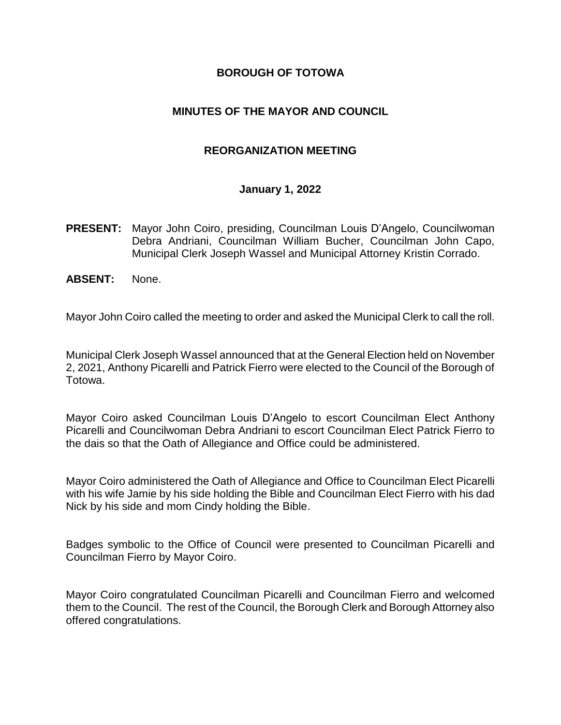#### **BOROUGH OF TOTOWA**

#### **MINUTES OF THE MAYOR AND COUNCIL**

#### **REORGANIZATION MEETING**

#### **January 1, 2022**

- **PRESENT:** Mayor John Coiro, presiding, Councilman Louis D'Angelo, Councilwoman Debra Andriani, Councilman William Bucher, Councilman John Capo, Municipal Clerk Joseph Wassel and Municipal Attorney Kristin Corrado.
- **ABSENT:** None.

Mayor John Coiro called the meeting to order and asked the Municipal Clerk to call the roll.

Municipal Clerk Joseph Wassel announced that at the General Election held on November 2, 2021, Anthony Picarelli and Patrick Fierro were elected to the Council of the Borough of Totowa.

Mayor Coiro asked Councilman Louis D'Angelo to escort Councilman Elect Anthony Picarelli and Councilwoman Debra Andriani to escort Councilman Elect Patrick Fierro to the dais so that the Oath of Allegiance and Office could be administered.

Mayor Coiro administered the Oath of Allegiance and Office to Councilman Elect Picarelli with his wife Jamie by his side holding the Bible and Councilman Elect Fierro with his dad Nick by his side and mom Cindy holding the Bible.

Badges symbolic to the Office of Council were presented to Councilman Picarelli and Councilman Fierro by Mayor Coiro.

Mayor Coiro congratulated Councilman Picarelli and Councilman Fierro and welcomed them to the Council. The rest of the Council, the Borough Clerk and Borough Attorney also offered congratulations.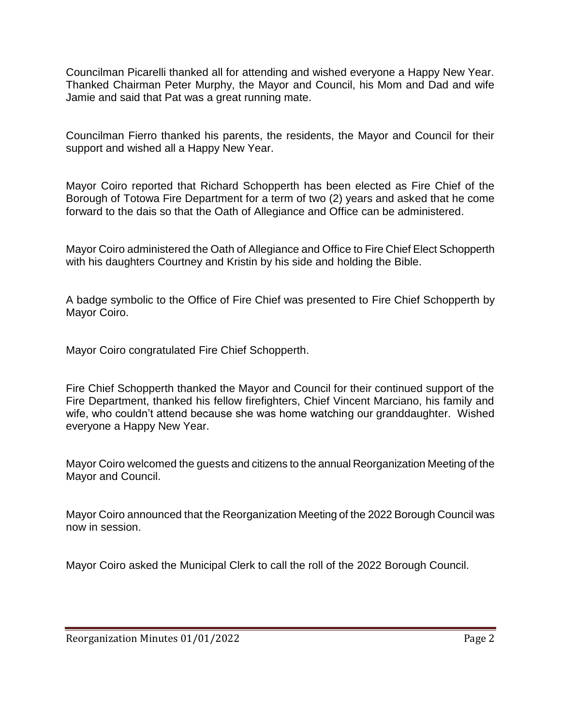Councilman Picarelli thanked all for attending and wished everyone a Happy New Year. Thanked Chairman Peter Murphy, the Mayor and Council, his Mom and Dad and wife Jamie and said that Pat was a great running mate.

Councilman Fierro thanked his parents, the residents, the Mayor and Council for their support and wished all a Happy New Year.

Mayor Coiro reported that Richard Schopperth has been elected as Fire Chief of the Borough of Totowa Fire Department for a term of two (2) years and asked that he come forward to the dais so that the Oath of Allegiance and Office can be administered.

Mayor Coiro administered the Oath of Allegiance and Office to Fire Chief Elect Schopperth with his daughters Courtney and Kristin by his side and holding the Bible.

A badge symbolic to the Office of Fire Chief was presented to Fire Chief Schopperth by Mayor Coiro.

Mayor Coiro congratulated Fire Chief Schopperth.

Fire Chief Schopperth thanked the Mayor and Council for their continued support of the Fire Department, thanked his fellow firefighters, Chief Vincent Marciano, his family and wife, who couldn't attend because she was home watching our granddaughter. Wished everyone a Happy New Year.

Mayor Coiro welcomed the guests and citizens to the annual Reorganization Meeting of the Mayor and Council.

Mayor Coiro announced that the Reorganization Meeting of the 2022 Borough Council was now in session.

Mayor Coiro asked the Municipal Clerk to call the roll of the 2022 Borough Council.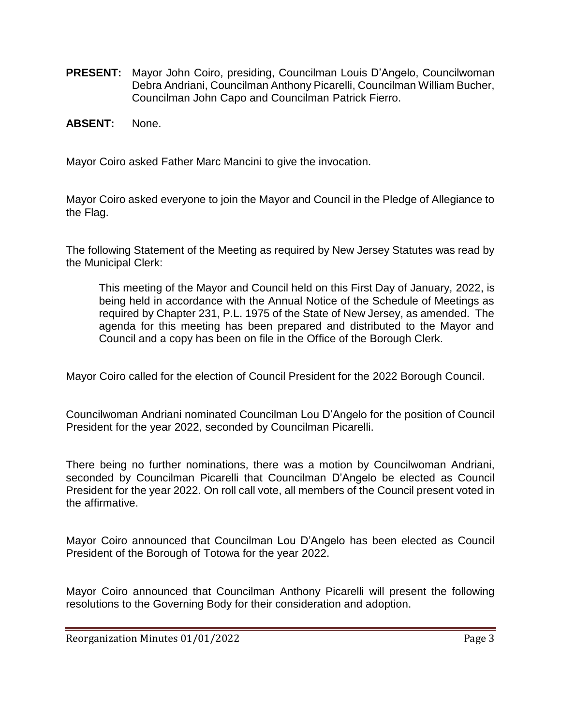- **PRESENT:** Mayor John Coiro, presiding, Councilman Louis D'Angelo, Councilwoman Debra Andriani, Councilman Anthony Picarelli, Councilman William Bucher, Councilman John Capo and Councilman Patrick Fierro.
- **ABSENT:** None.

Mayor Coiro asked Father Marc Mancini to give the invocation.

Mayor Coiro asked everyone to join the Mayor and Council in the Pledge of Allegiance to the Flag.

The following Statement of the Meeting as required by New Jersey Statutes was read by the Municipal Clerk:

This meeting of the Mayor and Council held on this First Day of January, 2022, is being held in accordance with the Annual Notice of the Schedule of Meetings as required by Chapter 231, P.L. 1975 of the State of New Jersey, as amended. The agenda for this meeting has been prepared and distributed to the Mayor and Council and a copy has been on file in the Office of the Borough Clerk.

Mayor Coiro called for the election of Council President for the 2022 Borough Council.

Councilwoman Andriani nominated Councilman Lou D'Angelo for the position of Council President for the year 2022, seconded by Councilman Picarelli.

There being no further nominations, there was a motion by Councilwoman Andriani, seconded by Councilman Picarelli that Councilman D'Angelo be elected as Council President for the year 2022. On roll call vote, all members of the Council present voted in the affirmative.

Mayor Coiro announced that Councilman Lou D'Angelo has been elected as Council President of the Borough of Totowa for the year 2022.

Mayor Coiro announced that Councilman Anthony Picarelli will present the following resolutions to the Governing Body for their consideration and adoption.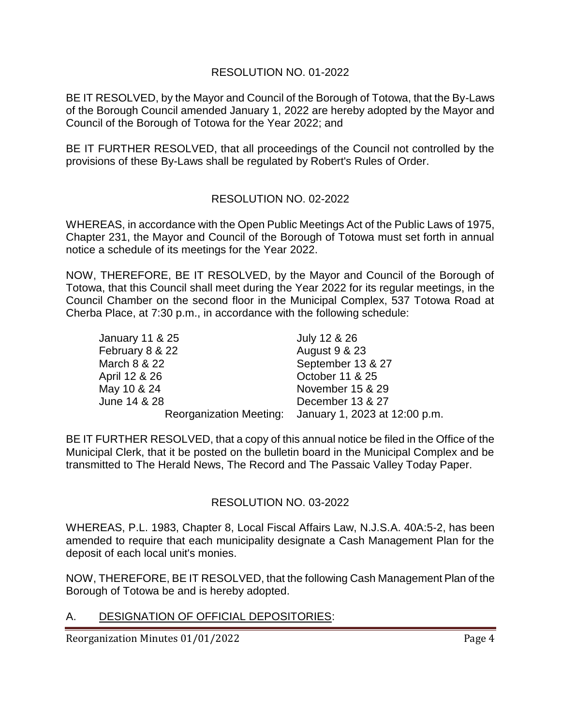#### RESOLUTION NO. 01-2022

BE IT RESOLVED, by the Mayor and Council of the Borough of Totowa, that the By-Laws of the Borough Council amended January 1, 2022 are hereby adopted by the Mayor and Council of the Borough of Totowa for the Year 2022; and

BE IT FURTHER RESOLVED, that all proceedings of the Council not controlled by the provisions of these By-Laws shall be regulated by Robert's Rules of Order.

### RESOLUTION NO. 02-2022

WHEREAS, in accordance with the Open Public Meetings Act of the Public Laws of 1975, Chapter 231, the Mayor and Council of the Borough of Totowa must set forth in annual notice a schedule of its meetings for the Year 2022.

NOW, THEREFORE, BE IT RESOLVED, by the Mayor and Council of the Borough of Totowa, that this Council shall meet during the Year 2022 for its regular meetings, in the Council Chamber on the second floor in the Municipal Complex, 537 Totowa Road at Cherba Place, at 7:30 p.m., in accordance with the following schedule:

| January 11 & 25 | July 12 & 26                                          |
|-----------------|-------------------------------------------------------|
| February 8 & 22 | August 9 & 23                                         |
| March 8 & 22    | September 13 & 27                                     |
| April 12 & 26   | October 11 & 25                                       |
| May 10 & 24     | November 15 & 29                                      |
| June 14 & 28    | December 13 & 27                                      |
|                 | Reorganization Meeting: January 1, 2023 at 12:00 p.m. |

BE IT FURTHER RESOLVED, that a copy of this annual notice be filed in the Office of the Municipal Clerk, that it be posted on the bulletin board in the Municipal Complex and be transmitted to The Herald News, The Record and The Passaic Valley Today Paper.

### RESOLUTION NO. 03-2022

WHEREAS, P.L. 1983, Chapter 8, Local Fiscal Affairs Law, N.J.S.A. 40A:5-2, has been amended to require that each municipality designate a Cash Management Plan for the deposit of each local unit's monies.

NOW, THEREFORE, BE IT RESOLVED, that the following Cash Management Plan of the Borough of Totowa be and is hereby adopted.

### A. DESIGNATION OF OFFICIAL DEPOSITORIES:

Reorganization Minutes 01/01/2022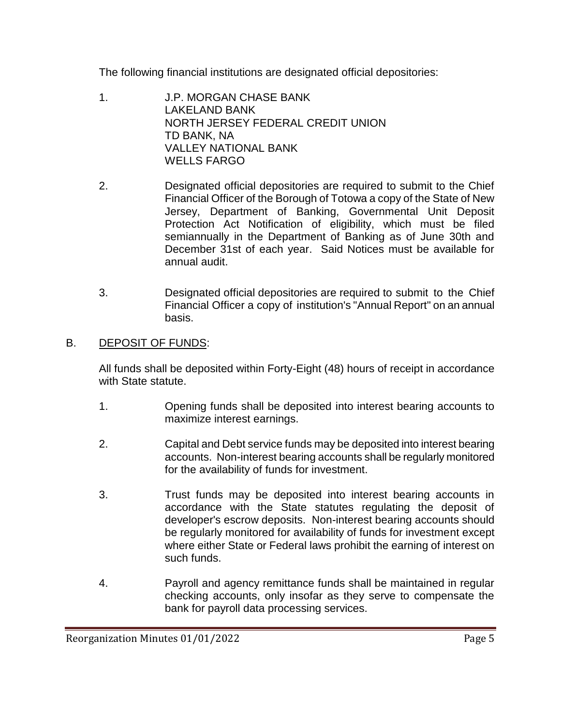The following financial institutions are designated official depositories:

- 1. J.P. MORGAN CHASE BANK LAKELAND BANK NORTH JERSEY FEDERAL CREDIT UNION TD BANK, NA VALLEY NATIONAL BANK WELLS FARGO
- 2. Designated official depositories are required to submit to the Chief Financial Officer of the Borough of Totowa a copy of the State of New Jersey, Department of Banking, Governmental Unit Deposit Protection Act Notification of eligibility, which must be filed semiannually in the Department of Banking as of June 30th and December 31st of each year. Said Notices must be available for annual audit.
- 3. Designated official depositories are required to submit to the Chief Financial Officer a copy of institution's "Annual Report" on an annual basis.

## B. DEPOSIT OF FUNDS:

All funds shall be deposited within Forty-Eight (48) hours of receipt in accordance with State statute.

- 1. Opening funds shall be deposited into interest bearing accounts to maximize interest earnings.
- 2. Capital and Debt service funds may be deposited into interest bearing accounts. Non-interest bearing accounts shall be regularly monitored for the availability of funds for investment.
- 3. Trust funds may be deposited into interest bearing accounts in accordance with the State statutes regulating the deposit of developer's escrow deposits. Non-interest bearing accounts should be regularly monitored for availability of funds for investment except where either State or Federal laws prohibit the earning of interest on such funds.
- 4. Payroll and agency remittance funds shall be maintained in regular checking accounts, only insofar as they serve to compensate the bank for payroll data processing services.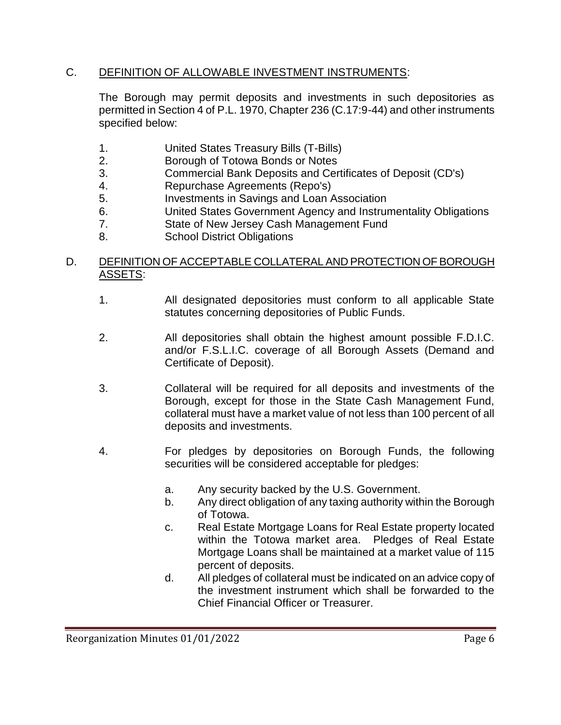### C. DEFINITION OF ALLOWABLE INVESTMENT INSTRUMENTS:

The Borough may permit deposits and investments in such depositories as permitted in Section 4 of P.L. 1970, Chapter 236 (C.17:9-44) and other instruments specified below:

- 1. United States Treasury Bills (T-Bills)
- 2. Borough of Totowa Bonds or Notes
- 3. Commercial Bank Deposits and Certificates of Deposit (CD's)
- 4. Repurchase Agreements (Repo's)
- 5. Investments in Savings and Loan Association
- 6. United States Government Agency and Instrumentality Obligations
- 7. State of New Jersey Cash Management Fund
- 8. School District Obligations

### D. DEFINITION OF ACCEPTABLE COLLATERAL AND PROTECTION OF BOROUGH ASSETS:

- 1. All designated depositories must conform to all applicable State statutes concerning depositories of Public Funds.
- 2. All depositories shall obtain the highest amount possible F.D.I.C. and/or F.S.L.I.C. coverage of all Borough Assets (Demand and Certificate of Deposit).
- 3. Collateral will be required for all deposits and investments of the Borough, except for those in the State Cash Management Fund, collateral must have a market value of not less than 100 percent of all deposits and investments.
- 4. For pledges by depositories on Borough Funds, the following securities will be considered acceptable for pledges:
	- a. Any security backed by the U.S. Government.
	- b. Any direct obligation of any taxing authority within the Borough of Totowa.
	- c. Real Estate Mortgage Loans for Real Estate property located within the Totowa market area. Pledges of Real Estate Mortgage Loans shall be maintained at a market value of 115 percent of deposits.
	- d. All pledges of collateral must be indicated on an advice copy of the investment instrument which shall be forwarded to the Chief Financial Officer or Treasurer.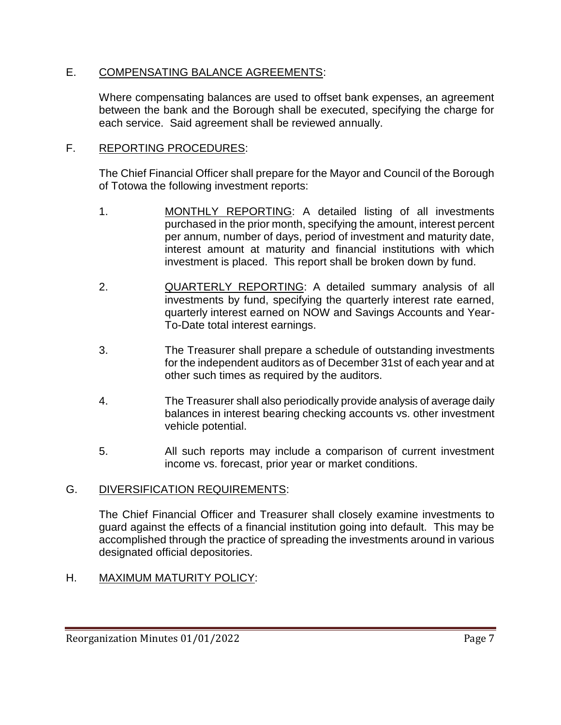### E. COMPENSATING BALANCE AGREEMENTS:

Where compensating balances are used to offset bank expenses, an agreement between the bank and the Borough shall be executed, specifying the charge for each service. Said agreement shall be reviewed annually.

#### F. REPORTING PROCEDURES:

The Chief Financial Officer shall prepare for the Mayor and Council of the Borough of Totowa the following investment reports:

- 1. MONTHLY REPORTING: A detailed listing of all investments purchased in the prior month, specifying the amount, interest percent per annum, number of days, period of investment and maturity date, interest amount at maturity and financial institutions with which investment is placed. This report shall be broken down by fund.
- 2. QUARTERLY REPORTING: A detailed summary analysis of all investments by fund, specifying the quarterly interest rate earned, quarterly interest earned on NOW and Savings Accounts and Year-To-Date total interest earnings.
- 3. The Treasurer shall prepare a schedule of outstanding investments for the independent auditors as of December 31st of each year and at other such times as required by the auditors.
- 4. The Treasurer shall also periodically provide analysis of average daily balances in interest bearing checking accounts vs. other investment vehicle potential.
- 5. All such reports may include a comparison of current investment income vs. forecast, prior year or market conditions.

### G. DIVERSIFICATION REQUIREMENTS:

The Chief Financial Officer and Treasurer shall closely examine investments to guard against the effects of a financial institution going into default. This may be accomplished through the practice of spreading the investments around in various designated official depositories.

### H. MAXIMUM MATURITY POLICY: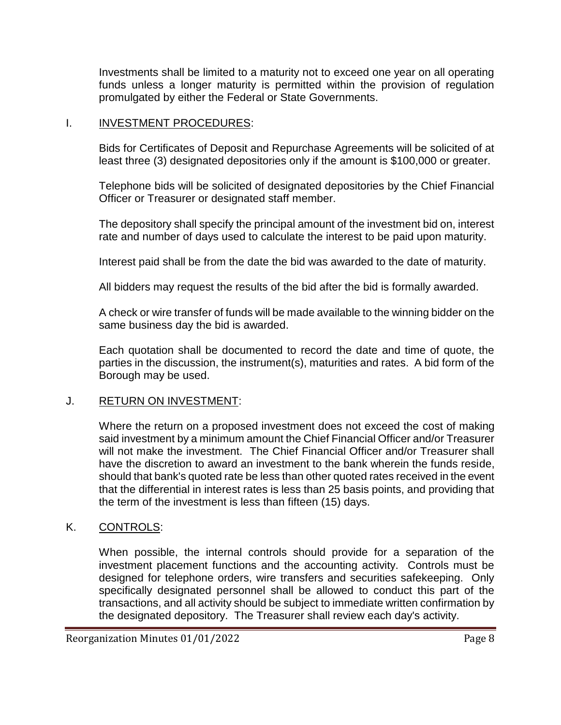Investments shall be limited to a maturity not to exceed one year on all operating funds unless a longer maturity is permitted within the provision of regulation promulgated by either the Federal or State Governments.

### I. INVESTMENT PROCEDURES:

Bids for Certificates of Deposit and Repurchase Agreements will be solicited of at least three (3) designated depositories only if the amount is \$100,000 or greater.

Telephone bids will be solicited of designated depositories by the Chief Financial Officer or Treasurer or designated staff member.

The depository shall specify the principal amount of the investment bid on, interest rate and number of days used to calculate the interest to be paid upon maturity.

Interest paid shall be from the date the bid was awarded to the date of maturity.

All bidders may request the results of the bid after the bid is formally awarded.

A check or wire transfer of funds will be made available to the winning bidder on the same business day the bid is awarded.

Each quotation shall be documented to record the date and time of quote, the parties in the discussion, the instrument(s), maturities and rates. A bid form of the Borough may be used.

### J. RETURN ON INVESTMENT:

Where the return on a proposed investment does not exceed the cost of making said investment by a minimum amount the Chief Financial Officer and/or Treasurer will not make the investment. The Chief Financial Officer and/or Treasurer shall have the discretion to award an investment to the bank wherein the funds reside, should that bank's quoted rate be less than other quoted rates received in the event that the differential in interest rates is less than 25 basis points, and providing that the term of the investment is less than fifteen (15) days.

### K. CONTROLS:

When possible, the internal controls should provide for a separation of the investment placement functions and the accounting activity. Controls must be designed for telephone orders, wire transfers and securities safekeeping. Only specifically designated personnel shall be allowed to conduct this part of the transactions, and all activity should be subject to immediate written confirmation by the designated depository. The Treasurer shall review each day's activity.

Reorganization Minutes 01/01/2022 Page 8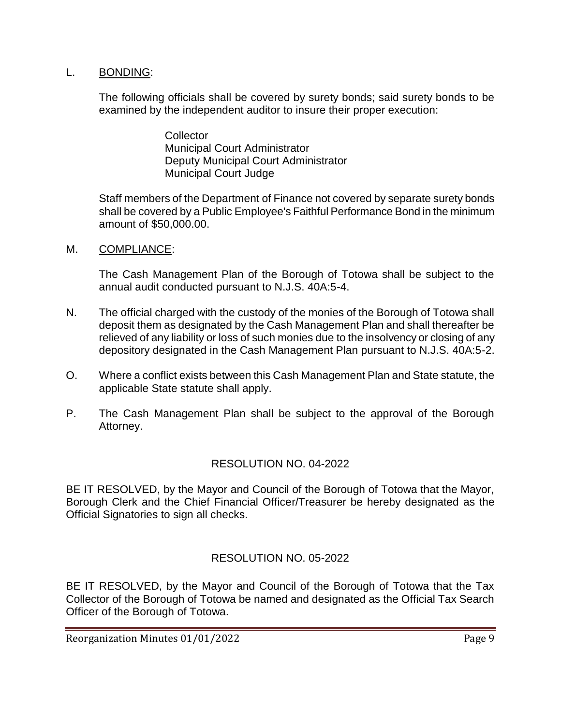#### L. BONDING:

The following officials shall be covered by surety bonds; said surety bonds to be examined by the independent auditor to insure their proper execution:

> **Collector** Municipal Court Administrator Deputy Municipal Court Administrator Municipal Court Judge

Staff members of the Department of Finance not covered by separate surety bonds shall be covered by a Public Employee's Faithful Performance Bond in the minimum amount of \$50,000.00.

M. COMPLIANCE:

The Cash Management Plan of the Borough of Totowa shall be subject to the annual audit conducted pursuant to N.J.S. 40A:5-4.

- N. The official charged with the custody of the monies of the Borough of Totowa shall deposit them as designated by the Cash Management Plan and shall thereafter be relieved of any liability or loss of such monies due to the insolvency or closing of any depository designated in the Cash Management Plan pursuant to N.J.S. 40A:5-2.
- O. Where a conflict exists between this Cash Management Plan and State statute, the applicable State statute shall apply.
- P. The Cash Management Plan shall be subject to the approval of the Borough Attorney.

### RESOLUTION NO. 04-2022

BE IT RESOLVED, by the Mayor and Council of the Borough of Totowa that the Mayor, Borough Clerk and the Chief Financial Officer/Treasurer be hereby designated as the Official Signatories to sign all checks.

### RESOLUTION NO. 05-2022

BE IT RESOLVED, by the Mayor and Council of the Borough of Totowa that the Tax Collector of the Borough of Totowa be named and designated as the Official Tax Search Officer of the Borough of Totowa.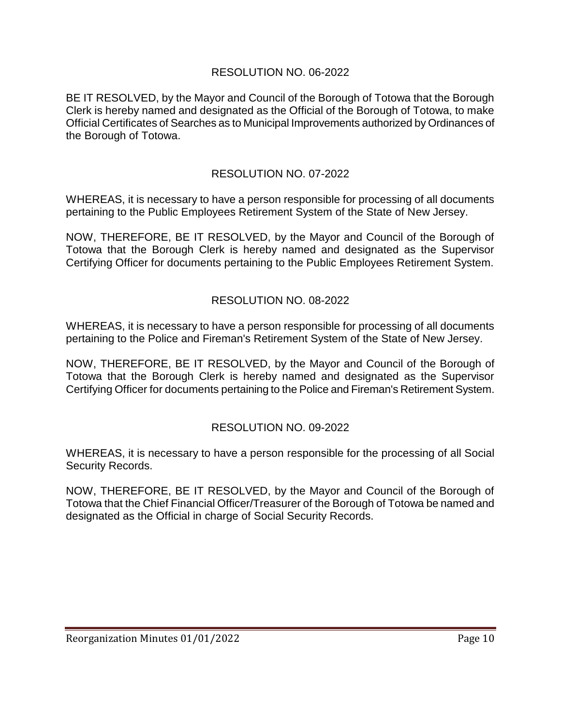### RESOLUTION NO. 06-2022

BE IT RESOLVED, by the Mayor and Council of the Borough of Totowa that the Borough Clerk is hereby named and designated as the Official of the Borough of Totowa, to make Official Certificates of Searches as to Municipal Improvements authorized by Ordinances of the Borough of Totowa.

## RESOLUTION NO. 07-2022

WHEREAS, it is necessary to have a person responsible for processing of all documents pertaining to the Public Employees Retirement System of the State of New Jersey.

NOW, THEREFORE, BE IT RESOLVED, by the Mayor and Council of the Borough of Totowa that the Borough Clerk is hereby named and designated as the Supervisor Certifying Officer for documents pertaining to the Public Employees Retirement System.

### RESOLUTION NO. 08-2022

WHEREAS, it is necessary to have a person responsible for processing of all documents pertaining to the Police and Fireman's Retirement System of the State of New Jersey.

NOW, THEREFORE, BE IT RESOLVED, by the Mayor and Council of the Borough of Totowa that the Borough Clerk is hereby named and designated as the Supervisor Certifying Officer for documents pertaining to the Police and Fireman's Retirement System.

### RESOLUTION NO. 09-2022

WHEREAS, it is necessary to have a person responsible for the processing of all Social Security Records.

NOW, THEREFORE, BE IT RESOLVED, by the Mayor and Council of the Borough of Totowa that the Chief Financial Officer/Treasurer of the Borough of Totowa be named and designated as the Official in charge of Social Security Records.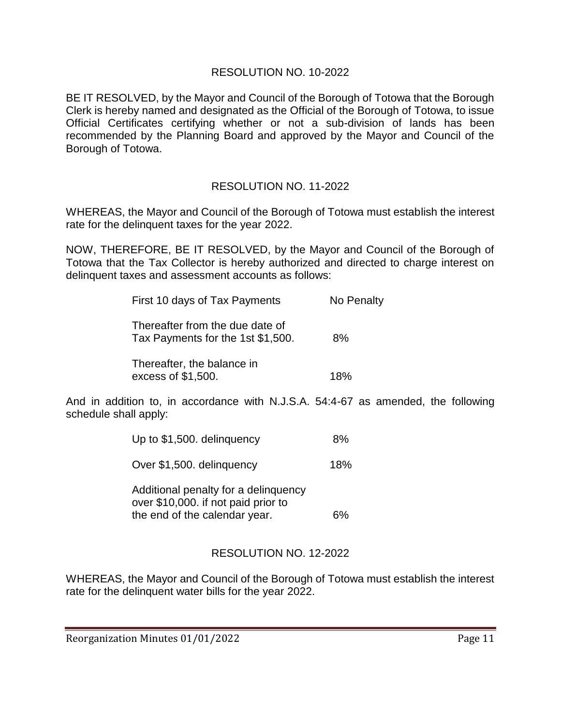#### RESOLUTION NO. 10-2022

BE IT RESOLVED, by the Mayor and Council of the Borough of Totowa that the Borough Clerk is hereby named and designated as the Official of the Borough of Totowa, to issue Official Certificates certifying whether or not a sub-division of lands has been recommended by the Planning Board and approved by the Mayor and Council of the Borough of Totowa.

### RESOLUTION NO. 11-2022

WHEREAS, the Mayor and Council of the Borough of Totowa must establish the interest rate for the delinquent taxes for the year 2022.

NOW, THEREFORE, BE IT RESOLVED, by the Mayor and Council of the Borough of Totowa that the Tax Collector is hereby authorized and directed to charge interest on delinquent taxes and assessment accounts as follows:

| First 10 days of Tax Payments                                        | No Penalty |
|----------------------------------------------------------------------|------------|
| Thereafter from the due date of<br>Tax Payments for the 1st \$1,500. | 8%         |
| Thereafter, the balance in<br>excess of \$1,500.                     | 18%        |

And in addition to, in accordance with N.J.S.A. 54:4-67 as amended, the following schedule shall apply:

| Up to \$1,500. delinguency           | 8%  |
|--------------------------------------|-----|
| Over \$1,500. delinguency            | 18% |
| Additional penalty for a delinquency |     |

over \$10,000. if not paid prior to the end of the calendar year. 6%

### RESOLUTION NO. 12-2022

WHEREAS, the Mayor and Council of the Borough of Totowa must establish the interest rate for the delinquent water bills for the year 2022.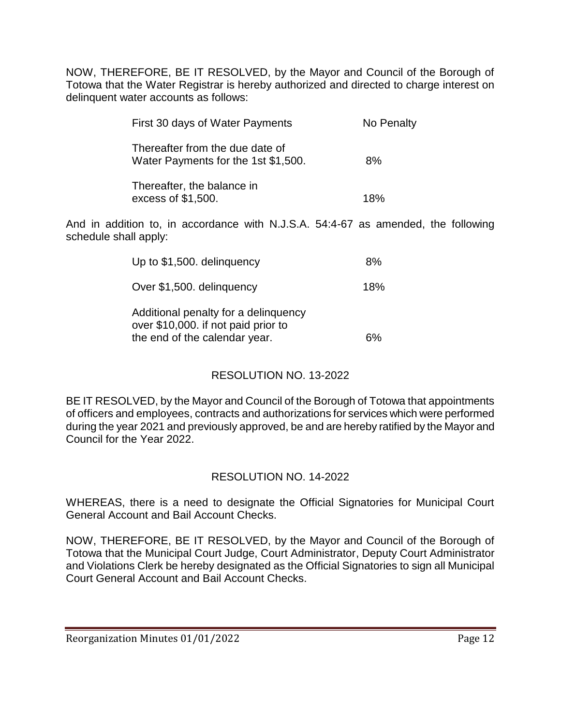NOW, THEREFORE, BE IT RESOLVED, by the Mayor and Council of the Borough of Totowa that the Water Registrar is hereby authorized and directed to charge interest on delinquent water accounts as follows:

| First 30 days of Water Payments                                        | No Penalty |
|------------------------------------------------------------------------|------------|
| Thereafter from the due date of<br>Water Payments for the 1st \$1,500. | 8%         |
| Thereafter, the balance in<br>excess of \$1,500.                       | 18%        |

And in addition to, in accordance with N.J.S.A. 54:4-67 as amended, the following schedule shall apply:

| Up to \$1,500. delinguency                                                                                   | 8%  |
|--------------------------------------------------------------------------------------------------------------|-----|
| Over \$1,500. delinguency                                                                                    | 18% |
| Additional penalty for a delinguency<br>over \$10,000. if not paid prior to<br>the end of the calendar year. | 6%  |

### RESOLUTION NO. 13-2022

BE IT RESOLVED, by the Mayor and Council of the Borough of Totowa that appointments of officers and employees, contracts and authorizations for services which were performed during the year 2021 and previously approved, be and are hereby ratified by the Mayor and Council for the Year 2022.

### RESOLUTION NO. 14-2022

WHEREAS, there is a need to designate the Official Signatories for Municipal Court General Account and Bail Account Checks.

NOW, THEREFORE, BE IT RESOLVED, by the Mayor and Council of the Borough of Totowa that the Municipal Court Judge, Court Administrator, Deputy Court Administrator and Violations Clerk be hereby designated as the Official Signatories to sign all Municipal Court General Account and Bail Account Checks.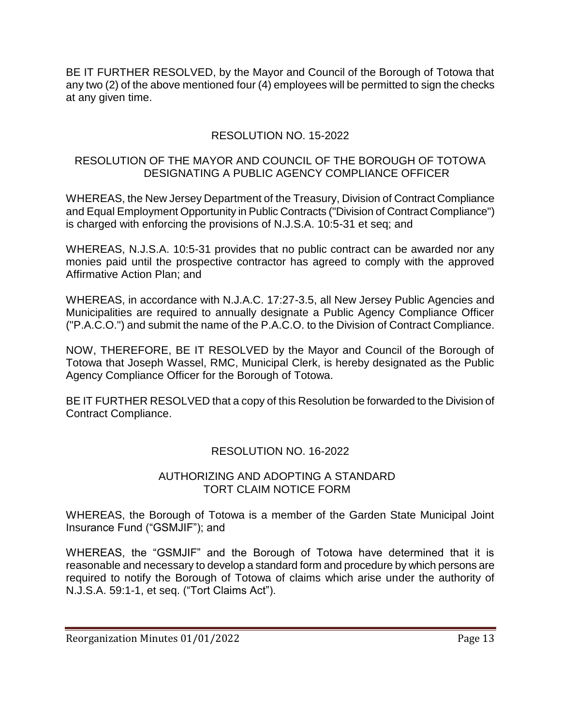BE IT FURTHER RESOLVED, by the Mayor and Council of the Borough of Totowa that any two (2) of the above mentioned four (4) employees will be permitted to sign the checks at any given time.

## RESOLUTION NO. 15-2022

#### RESOLUTION OF THE MAYOR AND COUNCIL OF THE BOROUGH OF TOTOWA DESIGNATING A PUBLIC AGENCY COMPLIANCE OFFICER

WHEREAS, the New Jersey Department of the Treasury, Division of Contract Compliance and Equal Employment Opportunity in Public Contracts ("Division of Contract Compliance") is charged with enforcing the provisions of N.J.S.A. 10:5-31 et seq; and

WHEREAS, N.J.S.A. 10:5-31 provides that no public contract can be awarded nor any monies paid until the prospective contractor has agreed to comply with the approved Affirmative Action Plan; and

WHEREAS, in accordance with N.J.A.C. 17:27-3.5, all New Jersey Public Agencies and Municipalities are required to annually designate a Public Agency Compliance Officer ("P.A.C.O.") and submit the name of the P.A.C.O. to the Division of Contract Compliance.

NOW, THEREFORE, BE IT RESOLVED by the Mayor and Council of the Borough of Totowa that Joseph Wassel, RMC, Municipal Clerk, is hereby designated as the Public Agency Compliance Officer for the Borough of Totowa.

BE IT FURTHER RESOLVED that a copy of this Resolution be forwarded to the Division of Contract Compliance.

### RESOLUTION NO. 16-2022

#### AUTHORIZING AND ADOPTING A STANDARD TORT CLAIM NOTICE FORM

WHEREAS, the Borough of Totowa is a member of the Garden State Municipal Joint Insurance Fund ("GSMJIF"); and

WHEREAS, the "GSMJIF" and the Borough of Totowa have determined that it is reasonable and necessary to develop a standard form and procedure by which persons are required to notify the Borough of Totowa of claims which arise under the authority of N.J.S.A. 59:1-1, et seq. ("Tort Claims Act").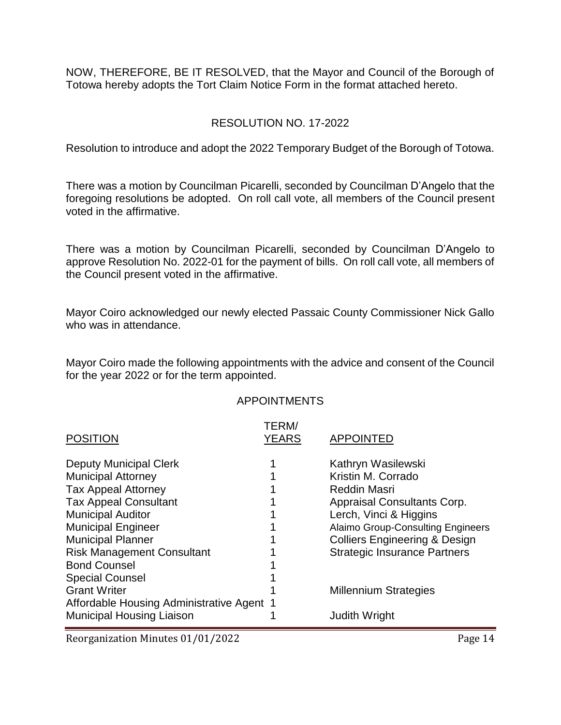NOW, THEREFORE, BE IT RESOLVED, that the Mayor and Council of the Borough of Totowa hereby adopts the Tort Claim Notice Form in the format attached hereto.

#### RESOLUTION NO. 17-2022

Resolution to introduce and adopt the 2022 Temporary Budget of the Borough of Totowa.

There was a motion by Councilman Picarelli, seconded by Councilman D'Angelo that the foregoing resolutions be adopted. On roll call vote, all members of the Council present voted in the affirmative.

There was a motion by Councilman Picarelli, seconded by Councilman D'Angelo to approve Resolution No. 2022-01 for the payment of bills. On roll call vote, all members of the Council present voted in the affirmative.

Mayor Coiro acknowledged our newly elected Passaic County Commissioner Nick Gallo who was in attendance.

Mayor Coiro made the following appointments with the advice and consent of the Council for the year 2022 or for the term appointed.

#### APPOINTMENTS

| <b>POSITION</b>                           | TERM/<br><b>YEARS</b> | <b>APPOINTED</b>                         |
|-------------------------------------------|-----------------------|------------------------------------------|
| <b>Deputy Municipal Clerk</b>             |                       | Kathryn Wasilewski                       |
| <b>Municipal Attorney</b>                 |                       | Kristin M. Corrado                       |
| <b>Tax Appeal Attorney</b>                |                       | <b>Reddin Masri</b>                      |
| <b>Tax Appeal Consultant</b>              |                       | Appraisal Consultants Corp.              |
| <b>Municipal Auditor</b>                  |                       | Lerch, Vinci & Higgins                   |
| <b>Municipal Engineer</b>                 |                       | <b>Alaimo Group-Consulting Engineers</b> |
| <b>Municipal Planner</b>                  |                       | <b>Colliers Engineering &amp; Design</b> |
| <b>Risk Management Consultant</b>         |                       | <b>Strategic Insurance Partners</b>      |
| <b>Bond Counsel</b>                       |                       |                                          |
| <b>Special Counsel</b>                    |                       |                                          |
| <b>Grant Writer</b>                       |                       | <b>Millennium Strategies</b>             |
| Affordable Housing Administrative Agent 1 |                       |                                          |
| <b>Municipal Housing Liaison</b>          |                       | <b>Judith Wright</b>                     |

Reorganization Minutes 01/01/2022 Page 14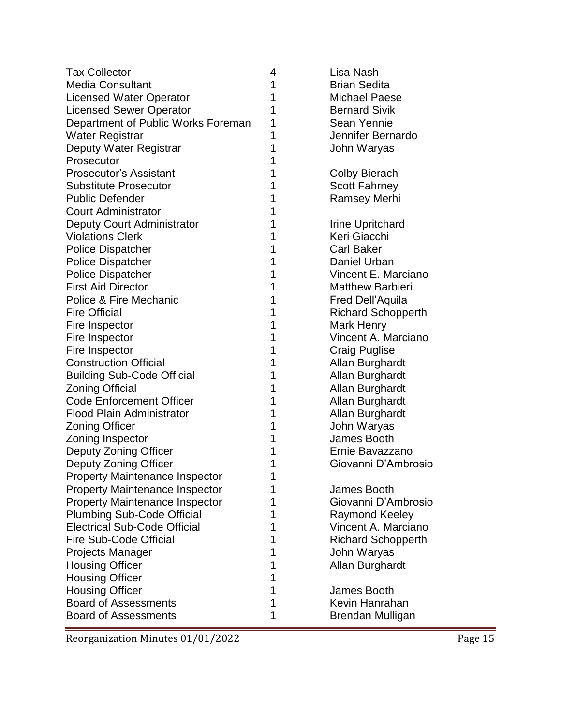| <b>Tax Collector</b>                  | 4 | Lisa Nash                 |
|---------------------------------------|---|---------------------------|
| <b>Media Consultant</b>               | 1 | <b>Brian Sedita</b>       |
| <b>Licensed Water Operator</b>        | 1 | <b>Michael Paese</b>      |
| <b>Licensed Sewer Operator</b>        | 1 | <b>Bernard Sivik</b>      |
| Department of Public Works Foreman    | 1 | Sean Yennie               |
| <b>Water Registrar</b>                | 1 | Jennifer Bernardo         |
| Deputy Water Registrar                | 1 | John Waryas               |
| Prosecutor                            | 1 |                           |
| <b>Prosecutor's Assistant</b>         | 1 | <b>Colby Bierach</b>      |
| <b>Substitute Prosecutor</b>          | 1 | <b>Scott Fahrney</b>      |
| <b>Public Defender</b>                | 1 | <b>Ramsey Merhi</b>       |
| <b>Court Administrator</b>            | 1 |                           |
| <b>Deputy Court Administrator</b>     | 1 | Irine Upritchard          |
| <b>Violations Clerk</b>               | 1 | Keri Giacchi              |
| <b>Police Dispatcher</b>              | 1 | <b>Carl Baker</b>         |
| <b>Police Dispatcher</b>              | 1 | Daniel Urban              |
| <b>Police Dispatcher</b>              | 1 | Vincent E. Marciano       |
| <b>First Aid Director</b>             | 1 | <b>Matthew Barbieri</b>   |
| Police & Fire Mechanic                | 1 | Fred Dell'Aquila          |
| <b>Fire Official</b>                  | 1 | <b>Richard Schopperth</b> |
| Fire Inspector                        | 1 | Mark Henry                |
| Fire Inspector                        | 1 | Vincent A. Marciano       |
| Fire Inspector                        | 1 | <b>Craig Puglise</b>      |
| <b>Construction Official</b>          | 1 | Allan Burghardt           |
| <b>Building Sub-Code Official</b>     | 1 | Allan Burghardt           |
| <b>Zoning Official</b>                | 1 | Allan Burghardt           |
| <b>Code Enforcement Officer</b>       | 1 | Allan Burghardt           |
| <b>Flood Plain Administrator</b>      | 1 | Allan Burghardt           |
| <b>Zoning Officer</b>                 | 1 | John Waryas               |
| Zoning Inspector                      | 1 | James Booth               |
| Deputy Zoning Officer                 | 1 | Ernie Bavazzano           |
| Deputy Zoning Officer                 | 1 | Giovanni D'Ambrosio       |
| <b>Property Maintenance Inspector</b> | 1 |                           |
| <b>Property Maintenance Inspector</b> | 1 | James Booth               |
| <b>Property Maintenance Inspector</b> | 1 | Giovanni D'Ambrosio       |
| <b>Plumbing Sub-Code Official</b>     | 1 | Raymond Keeley            |
| <b>Electrical Sub-Code Official</b>   | 1 | Vincent A. Marciano       |
| Fire Sub-Code Official                | 1 | <b>Richard Schopperth</b> |
| <b>Projects Manager</b>               | 1 | John Waryas               |
| <b>Housing Officer</b>                | 1 | Allan Burghardt           |
| <b>Housing Officer</b>                | 1 |                           |
| <b>Housing Officer</b>                | 1 | James Booth               |
| <b>Board of Assessments</b>           | 1 | Kevin Hanrahan            |
| <b>Board of Assessments</b>           | 1 | Brendan Mulligan          |

Reorganization Minutes 01/01/2022 Page 15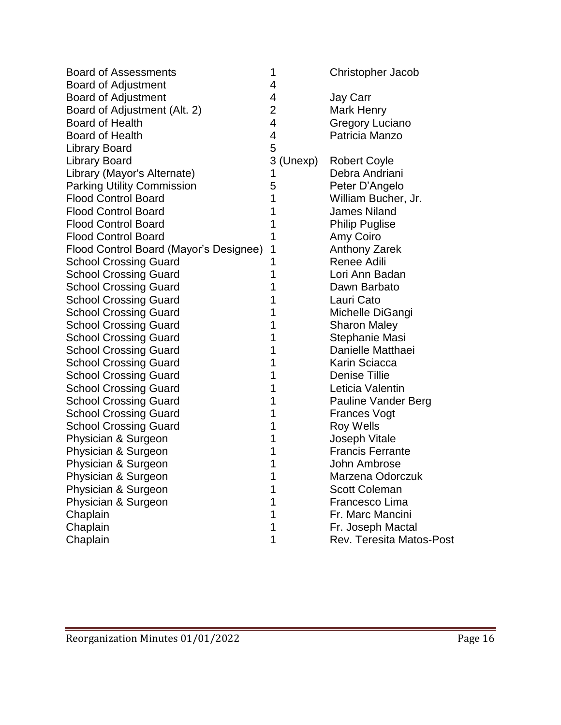| <b>Board of Assessments</b>            | 1              | <b>Christopher Jacob</b>        |
|----------------------------------------|----------------|---------------------------------|
| <b>Board of Adjustment</b>             | 4              |                                 |
| <b>Board of Adjustment</b>             | 4              | <b>Jay Carr</b>                 |
| Board of Adjustment (Alt. 2)           | $\overline{2}$ | Mark Henry                      |
| <b>Board of Health</b>                 | $\overline{4}$ | <b>Gregory Luciano</b>          |
| <b>Board of Health</b>                 | $\overline{4}$ | Patricia Manzo                  |
| <b>Library Board</b>                   | 5              |                                 |
| <b>Library Board</b>                   | 3 (Unexp)      | <b>Robert Coyle</b>             |
| Library (Mayor's Alternate)            | 1              | Debra Andriani                  |
| <b>Parking Utility Commission</b>      | 5              | Peter D'Angelo                  |
| <b>Flood Control Board</b>             | 1              | William Bucher, Jr.             |
| <b>Flood Control Board</b>             | 1              | <b>James Niland</b>             |
| <b>Flood Control Board</b>             | 1              | <b>Philip Puglise</b>           |
| <b>Flood Control Board</b>             |                | Amy Coiro                       |
| Flood Control Board (Mayor's Designee) | 1              | <b>Anthony Zarek</b>            |
| <b>School Crossing Guard</b>           | 1              | Renee Adili                     |
| <b>School Crossing Guard</b>           | 1              | Lori Ann Badan                  |
| <b>School Crossing Guard</b>           | 1              | Dawn Barbato                    |
| <b>School Crossing Guard</b>           | 1              | Lauri Cato                      |
| <b>School Crossing Guard</b>           | 1              | Michelle DiGangi                |
| <b>School Crossing Guard</b>           | 1              | <b>Sharon Maley</b>             |
| <b>School Crossing Guard</b>           | 1              | Stephanie Masi                  |
| <b>School Crossing Guard</b>           | 1              | Danielle Matthaei               |
| <b>School Crossing Guard</b>           | 1              | Karin Sciacca                   |
| <b>School Crossing Guard</b>           | 1              | <b>Denise Tillie</b>            |
| <b>School Crossing Guard</b>           | 1              | Leticia Valentin                |
| <b>School Crossing Guard</b>           | 1              | Pauline Vander Berg             |
| <b>School Crossing Guard</b>           | 1              | <b>Frances Vogt</b>             |
| <b>School Crossing Guard</b>           | 1              | <b>Roy Wells</b>                |
| Physician & Surgeon                    | 1              | Joseph Vitale                   |
| Physician & Surgeon                    | 1              | <b>Francis Ferrante</b>         |
| Physician & Surgeon                    | 1              | John Ambrose                    |
| Physician & Surgeon                    |                | Marzena Odorczuk                |
| Physician & Surgeon                    |                | <b>Scott Coleman</b>            |
| Physician & Surgeon                    |                | Francesco Lima                  |
| Chaplain                               | 1              | Fr. Marc Mancini                |
| Chaplain                               | 1              | Fr. Joseph Mactal               |
| Chaplain                               | 1              | <b>Rev. Teresita Matos-Post</b> |
|                                        |                |                                 |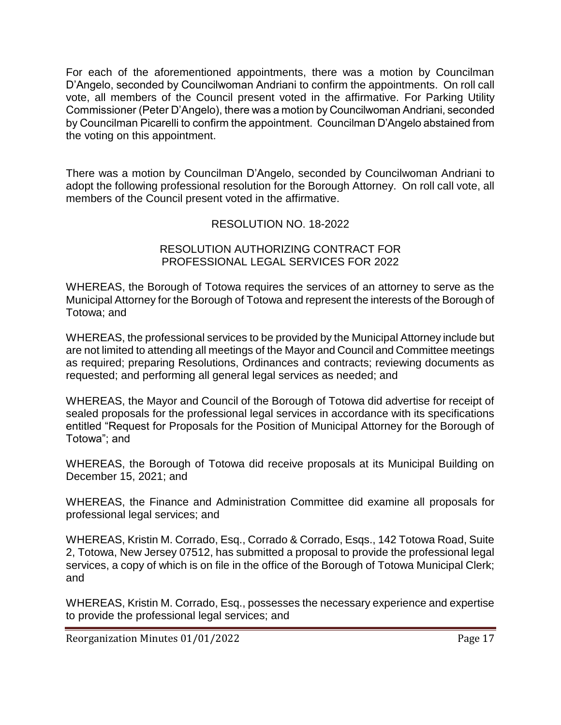For each of the aforementioned appointments, there was a motion by Councilman D'Angelo, seconded by Councilwoman Andriani to confirm the appointments. On roll call vote, all members of the Council present voted in the affirmative. For Parking Utility Commissioner (Peter D'Angelo), there was a motion by Councilwoman Andriani, seconded by Councilman Picarelli to confirm the appointment. Councilman D'Angelo abstained from the voting on this appointment.

There was a motion by Councilman D'Angelo, seconded by Councilwoman Andriani to adopt the following professional resolution for the Borough Attorney. On roll call vote, all members of the Council present voted in the affirmative.

### RESOLUTION NO. 18-2022

#### RESOLUTION AUTHORIZING CONTRACT FOR PROFESSIONAL LEGAL SERVICES FOR 2022

WHEREAS, the Borough of Totowa requires the services of an attorney to serve as the Municipal Attorney for the Borough of Totowa and represent the interests of the Borough of Totowa; and

WHEREAS, the professional services to be provided by the Municipal Attorney include but are not limited to attending all meetings of the Mayor and Council and Committee meetings as required; preparing Resolutions, Ordinances and contracts; reviewing documents as requested; and performing all general legal services as needed; and

WHEREAS, the Mayor and Council of the Borough of Totowa did advertise for receipt of sealed proposals for the professional legal services in accordance with its specifications entitled "Request for Proposals for the Position of Municipal Attorney for the Borough of Totowa"; and

WHEREAS, the Borough of Totowa did receive proposals at its Municipal Building on December 15, 2021; and

WHEREAS, the Finance and Administration Committee did examine all proposals for professional legal services; and

WHEREAS, Kristin M. Corrado, Esq., Corrado & Corrado, Esqs., 142 Totowa Road, Suite 2, Totowa, New Jersey 07512, has submitted a proposal to provide the professional legal services, a copy of which is on file in the office of the Borough of Totowa Municipal Clerk; and

WHEREAS, Kristin M. Corrado, Esq., possesses the necessary experience and expertise to provide the professional legal services; and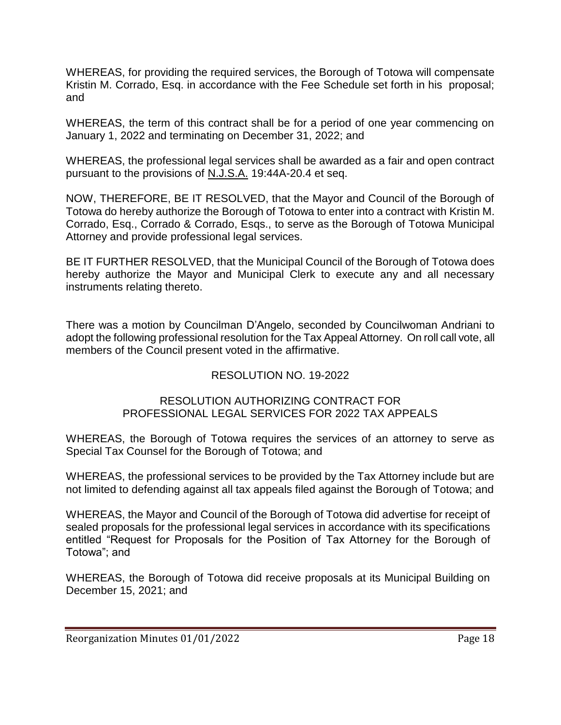WHEREAS, for providing the required services, the Borough of Totowa will compensate Kristin M. Corrado, Esq. in accordance with the Fee Schedule set forth in his proposal; and

WHEREAS, the term of this contract shall be for a period of one year commencing on January 1, 2022 and terminating on December 31, 2022; and

WHEREAS, the professional legal services shall be awarded as a fair and open contract pursuant to the provisions of N.J.S.A. 19:44A-20.4 et seq.

NOW, THEREFORE, BE IT RESOLVED, that the Mayor and Council of the Borough of Totowa do hereby authorize the Borough of Totowa to enter into a contract with Kristin M. Corrado, Esq., Corrado & Corrado, Esqs., to serve as the Borough of Totowa Municipal Attorney and provide professional legal services.

BE IT FURTHER RESOLVED, that the Municipal Council of the Borough of Totowa does hereby authorize the Mayor and Municipal Clerk to execute any and all necessary instruments relating thereto.

There was a motion by Councilman D'Angelo, seconded by Councilwoman Andriani to adopt the following professional resolution for the Tax Appeal Attorney. On roll call vote, all members of the Council present voted in the affirmative.

### RESOLUTION NO. 19-2022

#### RESOLUTION AUTHORIZING CONTRACT FOR PROFESSIONAL LEGAL SERVICES FOR 2022 TAX APPEALS

WHEREAS, the Borough of Totowa requires the services of an attorney to serve as Special Tax Counsel for the Borough of Totowa; and

WHEREAS, the professional services to be provided by the Tax Attorney include but are not limited to defending against all tax appeals filed against the Borough of Totowa; and

WHEREAS, the Mayor and Council of the Borough of Totowa did advertise for receipt of sealed proposals for the professional legal services in accordance with its specifications entitled "Request for Proposals for the Position of Tax Attorney for the Borough of Totowa"; and

WHEREAS, the Borough of Totowa did receive proposals at its Municipal Building on December 15, 2021; and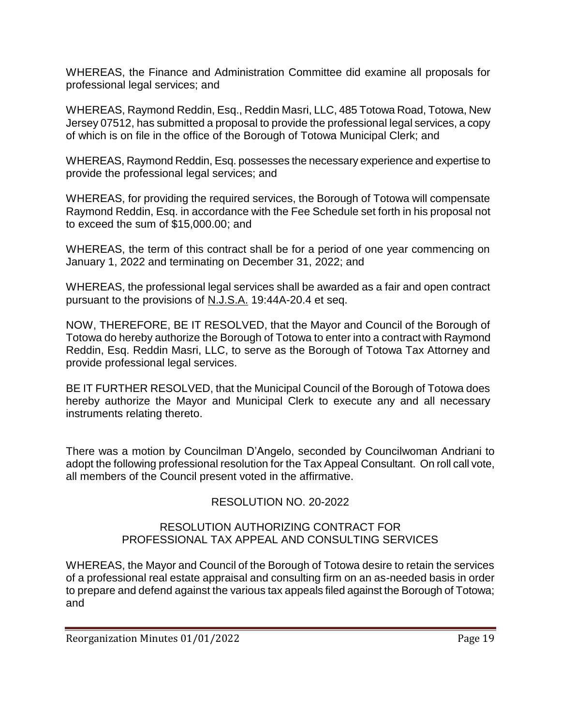WHEREAS, the Finance and Administration Committee did examine all proposals for professional legal services; and

WHEREAS, Raymond Reddin, Esq., Reddin Masri, LLC, 485 Totowa Road, Totowa, New Jersey 07512, has submitted a proposal to provide the professional legal services, a copy of which is on file in the office of the Borough of Totowa Municipal Clerk; and

WHEREAS, Raymond Reddin, Esq. possesses the necessary experience and expertise to provide the professional legal services; and

WHEREAS, for providing the required services, the Borough of Totowa will compensate Raymond Reddin, Esq. in accordance with the Fee Schedule set forth in his proposal not to exceed the sum of \$15,000.00; and

WHEREAS, the term of this contract shall be for a period of one year commencing on January 1, 2022 and terminating on December 31, 2022; and

WHEREAS, the professional legal services shall be awarded as a fair and open contract pursuant to the provisions of N.J.S.A. 19:44A-20.4 et seq.

NOW, THEREFORE, BE IT RESOLVED, that the Mayor and Council of the Borough of Totowa do hereby authorize the Borough of Totowa to enter into a contract with Raymond Reddin, Esq. Reddin Masri, LLC, to serve as the Borough of Totowa Tax Attorney and provide professional legal services.

BE IT FURTHER RESOLVED, that the Municipal Council of the Borough of Totowa does hereby authorize the Mayor and Municipal Clerk to execute any and all necessary instruments relating thereto.

There was a motion by Councilman D'Angelo, seconded by Councilwoman Andriani to adopt the following professional resolution for the Tax Appeal Consultant. On roll call vote, all members of the Council present voted in the affirmative.

## RESOLUTION NO. 20-2022

### RESOLUTION AUTHORIZING CONTRACT FOR PROFESSIONAL TAX APPEAL AND CONSULTING SERVICES

WHEREAS, the Mayor and Council of the Borough of Totowa desire to retain the services of a professional real estate appraisal and consulting firm on an as-needed basis in order to prepare and defend against the various tax appeals filed against the Borough of Totowa; and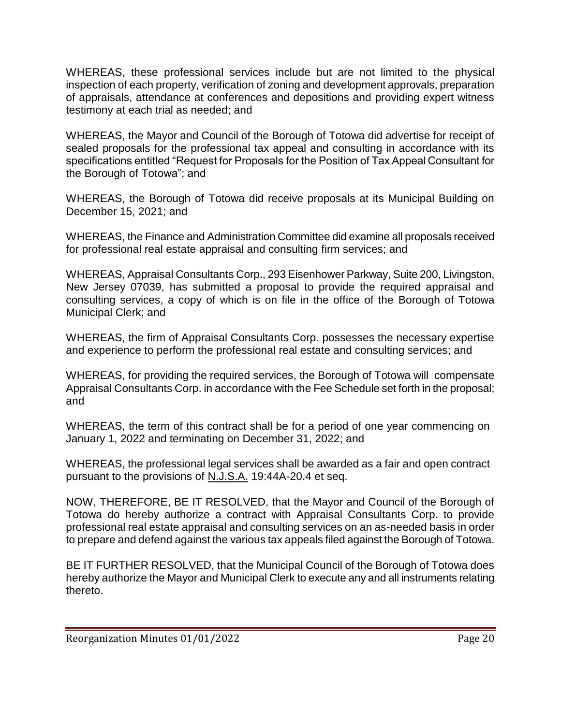WHEREAS, these professional services include but are not limited to the physical inspection of each property, verification of zoning and development approvals, preparation of appraisals, attendance at conferences and depositions and providing expert witness testimony at each trial as needed; and

WHEREAS, the Mayor and Council of the Borough of Totowa did advertise for receipt of sealed proposals for the professional tax appeal and consulting in accordance with its specifications entitled "Request for Proposals for the Position of Tax Appeal Consultant for the Borough of Totowa"; and

WHEREAS, the Borough of Totowa did receive proposals at its Municipal Building on December 15, 2021; and

WHEREAS, the Finance and Administration Committee did examine all proposals received for professional real estate appraisal and consulting firm services; and

WHEREAS, Appraisal Consultants Corp., 293 Eisenhower Parkway, Suite 200, Livingston, New Jersey 07039, has submitted a proposal to provide the required appraisal and consulting services, a copy of which is on file in the office of the Borough of Totowa Municipal Clerk; and

WHEREAS, the firm of Appraisal Consultants Corp. possesses the necessary expertise and experience to perform the professional real estate and consulting services; and

WHEREAS, for providing the required services, the Borough of Totowa will compensate Appraisal Consultants Corp. in accordance with the Fee Schedule set forth in the proposal; and

WHEREAS, the term of this contract shall be for a period of one year commencing on January 1, 2022 and terminating on December 31, 2022; and

WHEREAS, the professional legal services shall be awarded as a fair and open contract pursuant to the provisions of N.J.S.A. 19:44A-20.4 et seq.

NOW, THEREFORE, BE IT RESOLVED, that the Mayor and Council of the Borough of Totowa do hereby authorize a contract with Appraisal Consultants Corp. to provide professional real estate appraisal and consulting services on an as-needed basis in order to prepare and defend against the various tax appeals filed against the Borough of Totowa.

BE IT FURTHER RESOLVED, that the Municipal Council of the Borough of Totowa does hereby authorize the Mayor and Municipal Clerk to execute any and all instruments relating thereto.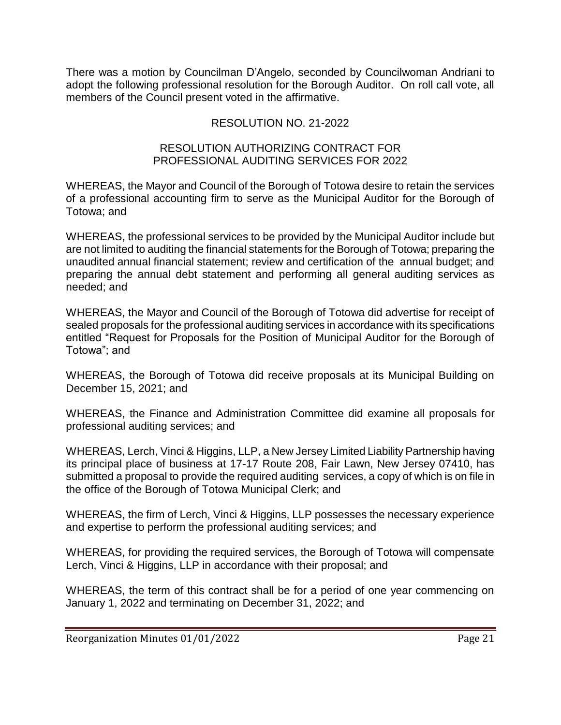There was a motion by Councilman D'Angelo, seconded by Councilwoman Andriani to adopt the following professional resolution for the Borough Auditor. On roll call vote, all members of the Council present voted in the affirmative.

## RESOLUTION NO. 21-2022

#### RESOLUTION AUTHORIZING CONTRACT FOR PROFESSIONAL AUDITING SERVICES FOR 2022

WHEREAS, the Mayor and Council of the Borough of Totowa desire to retain the services of a professional accounting firm to serve as the Municipal Auditor for the Borough of Totowa; and

WHEREAS, the professional services to be provided by the Municipal Auditor include but are not limited to auditing the financial statements for the Borough of Totowa; preparing the unaudited annual financial statement; review and certification of the annual budget; and preparing the annual debt statement and performing all general auditing services as needed; and

WHEREAS, the Mayor and Council of the Borough of Totowa did advertise for receipt of sealed proposals for the professional auditing services in accordance with its specifications entitled "Request for Proposals for the Position of Municipal Auditor for the Borough of Totowa"; and

WHEREAS, the Borough of Totowa did receive proposals at its Municipal Building on December 15, 2021; and

WHEREAS, the Finance and Administration Committee did examine all proposals for professional auditing services; and

WHEREAS, Lerch, Vinci & Higgins, LLP, a New Jersey Limited Liability Partnership having its principal place of business at 17-17 Route 208, Fair Lawn, New Jersey 07410, has submitted a proposal to provide the required auditing services, a copy of which is on file in the office of the Borough of Totowa Municipal Clerk; and

WHEREAS, the firm of Lerch, Vinci & Higgins, LLP possesses the necessary experience and expertise to perform the professional auditing services; and

WHEREAS, for providing the required services, the Borough of Totowa will compensate Lerch, Vinci & Higgins, LLP in accordance with their proposal; and

WHEREAS, the term of this contract shall be for a period of one year commencing on January 1, 2022 and terminating on December 31, 2022; and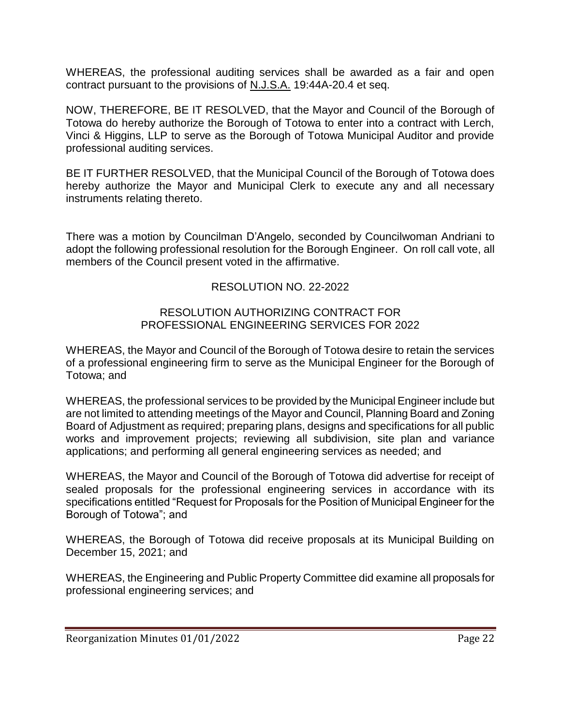WHEREAS, the professional auditing services shall be awarded as a fair and open contract pursuant to the provisions of N.J.S.A. 19:44A-20.4 et seq.

NOW, THEREFORE, BE IT RESOLVED, that the Mayor and Council of the Borough of Totowa do hereby authorize the Borough of Totowa to enter into a contract with Lerch, Vinci & Higgins, LLP to serve as the Borough of Totowa Municipal Auditor and provide professional auditing services.

BE IT FURTHER RESOLVED, that the Municipal Council of the Borough of Totowa does hereby authorize the Mayor and Municipal Clerk to execute any and all necessary instruments relating thereto.

There was a motion by Councilman D'Angelo, seconded by Councilwoman Andriani to adopt the following professional resolution for the Borough Engineer. On roll call vote, all members of the Council present voted in the affirmative.

### RESOLUTION NO. 22-2022

#### RESOLUTION AUTHORIZING CONTRACT FOR PROFESSIONAL ENGINEERING SERVICES FOR 2022

WHEREAS, the Mayor and Council of the Borough of Totowa desire to retain the services of a professional engineering firm to serve as the Municipal Engineer for the Borough of Totowa; and

WHEREAS, the professional services to be provided by the Municipal Engineer include but are not limited to attending meetings of the Mayor and Council, Planning Board and Zoning Board of Adjustment as required; preparing plans, designs and specifications for all public works and improvement projects; reviewing all subdivision, site plan and variance applications; and performing all general engineering services as needed; and

WHEREAS, the Mayor and Council of the Borough of Totowa did advertise for receipt of sealed proposals for the professional engineering services in accordance with its specifications entitled "Request for Proposals for the Position of Municipal Engineer for the Borough of Totowa"; and

WHEREAS, the Borough of Totowa did receive proposals at its Municipal Building on December 15, 2021; and

WHEREAS, the Engineering and Public Property Committee did examine all proposals for professional engineering services; and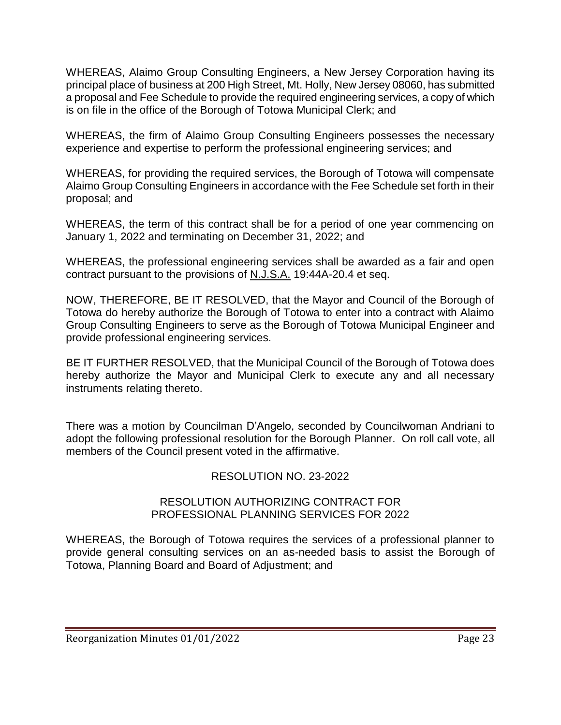WHEREAS, Alaimo Group Consulting Engineers, a New Jersey Corporation having its principal place of business at 200 High Street, Mt. Holly, New Jersey 08060, has submitted a proposal and Fee Schedule to provide the required engineering services, a copy of which is on file in the office of the Borough of Totowa Municipal Clerk; and

WHEREAS, the firm of Alaimo Group Consulting Engineers possesses the necessary experience and expertise to perform the professional engineering services; and

WHEREAS, for providing the required services, the Borough of Totowa will compensate Alaimo Group Consulting Engineers in accordance with the Fee Schedule set forth in their proposal; and

WHEREAS, the term of this contract shall be for a period of one year commencing on January 1, 2022 and terminating on December 31, 2022; and

WHEREAS, the professional engineering services shall be awarded as a fair and open contract pursuant to the provisions of N.J.S.A. 19:44A-20.4 et seq.

NOW, THEREFORE, BE IT RESOLVED, that the Mayor and Council of the Borough of Totowa do hereby authorize the Borough of Totowa to enter into a contract with Alaimo Group Consulting Engineers to serve as the Borough of Totowa Municipal Engineer and provide professional engineering services.

BE IT FURTHER RESOLVED, that the Municipal Council of the Borough of Totowa does hereby authorize the Mayor and Municipal Clerk to execute any and all necessary instruments relating thereto.

There was a motion by Councilman D'Angelo, seconded by Councilwoman Andriani to adopt the following professional resolution for the Borough Planner. On roll call vote, all members of the Council present voted in the affirmative.

### RESOLUTION NO. 23-2022

#### RESOLUTION AUTHORIZING CONTRACT FOR PROFESSIONAL PLANNING SERVICES FOR 2022

WHEREAS, the Borough of Totowa requires the services of a professional planner to provide general consulting services on an as-needed basis to assist the Borough of Totowa, Planning Board and Board of Adjustment; and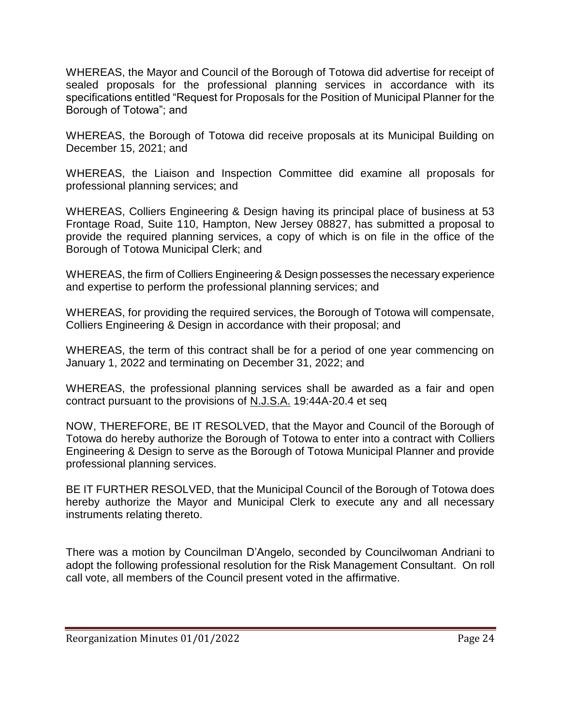WHEREAS, the Mayor and Council of the Borough of Totowa did advertise for receipt of sealed proposals for the professional planning services in accordance with its specifications entitled "Request for Proposals for the Position of Municipal Planner for the Borough of Totowa"; and

WHEREAS, the Borough of Totowa did receive proposals at its Municipal Building on December 15, 2021; and

WHEREAS, the Liaison and Inspection Committee did examine all proposals for professional planning services; and

WHEREAS, Colliers Engineering & Design having its principal place of business at 53 Frontage Road, Suite 110, Hampton, New Jersey 08827, has submitted a proposal to provide the required planning services, a copy of which is on file in the office of the Borough of Totowa Municipal Clerk; and

WHEREAS, the firm of Colliers Engineering & Design possesses the necessary experience and expertise to perform the professional planning services; and

WHEREAS, for providing the required services, the Borough of Totowa will compensate, Colliers Engineering & Design in accordance with their proposal; and

WHEREAS, the term of this contract shall be for a period of one year commencing on January 1, 2022 and terminating on December 31, 2022; and

WHEREAS, the professional planning services shall be awarded as a fair and open contract pursuant to the provisions of N.J.S.A. 19:44A-20.4 et seq

NOW, THEREFORE, BE IT RESOLVED, that the Mayor and Council of the Borough of Totowa do hereby authorize the Borough of Totowa to enter into a contract with Colliers Engineering & Design to serve as the Borough of Totowa Municipal Planner and provide professional planning services.

BE IT FURTHER RESOLVED, that the Municipal Council of the Borough of Totowa does hereby authorize the Mayor and Municipal Clerk to execute any and all necessary instruments relating thereto.

There was a motion by Councilman D'Angelo, seconded by Councilwoman Andriani to adopt the following professional resolution for the Risk Management Consultant. On roll call vote, all members of the Council present voted in the affirmative.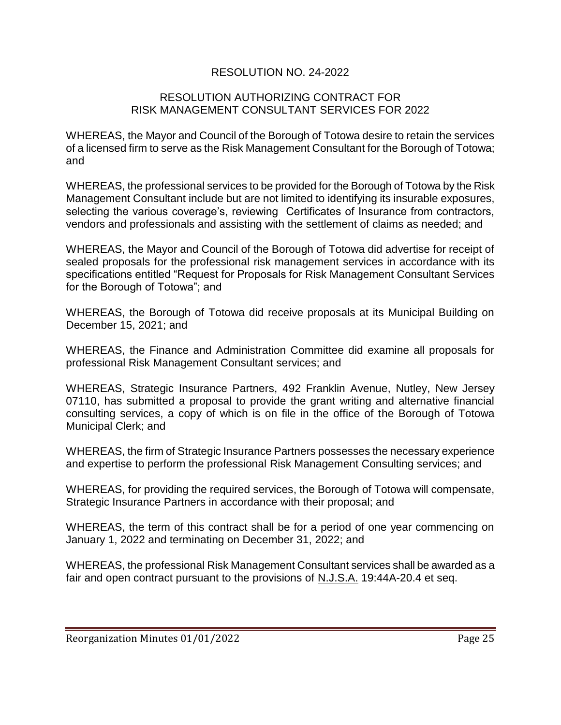### RESOLUTION NO. 24-2022

#### RESOLUTION AUTHORIZING CONTRACT FOR RISK MANAGEMENT CONSULTANT SERVICES FOR 2022

WHEREAS, the Mayor and Council of the Borough of Totowa desire to retain the services of a licensed firm to serve as the Risk Management Consultant for the Borough of Totowa; and

WHEREAS, the professional services to be provided for the Borough of Totowa by the Risk Management Consultant include but are not limited to identifying its insurable exposures, selecting the various coverage's, reviewing Certificates of Insurance from contractors, vendors and professionals and assisting with the settlement of claims as needed; and

WHEREAS, the Mayor and Council of the Borough of Totowa did advertise for receipt of sealed proposals for the professional risk management services in accordance with its specifications entitled "Request for Proposals for Risk Management Consultant Services for the Borough of Totowa"; and

WHEREAS, the Borough of Totowa did receive proposals at its Municipal Building on December 15, 2021; and

WHEREAS, the Finance and Administration Committee did examine all proposals for professional Risk Management Consultant services; and

WHEREAS, Strategic Insurance Partners, 492 Franklin Avenue, Nutley, New Jersey 07110, has submitted a proposal to provide the grant writing and alternative financial consulting services, a copy of which is on file in the office of the Borough of Totowa Municipal Clerk; and

WHEREAS, the firm of Strategic Insurance Partners possesses the necessary experience and expertise to perform the professional Risk Management Consulting services; and

WHEREAS, for providing the required services, the Borough of Totowa will compensate, Strategic Insurance Partners in accordance with their proposal; and

WHEREAS, the term of this contract shall be for a period of one year commencing on January 1, 2022 and terminating on December 31, 2022; and

WHEREAS, the professional Risk Management Consultant services shall be awarded as a fair and open contract pursuant to the provisions of N.J.S.A. 19:44A-20.4 et seq.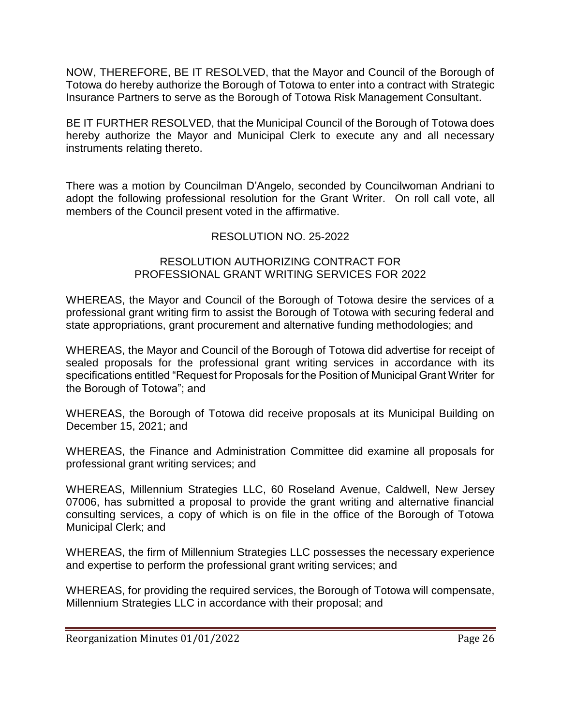NOW, THEREFORE, BE IT RESOLVED, that the Mayor and Council of the Borough of Totowa do hereby authorize the Borough of Totowa to enter into a contract with Strategic Insurance Partners to serve as the Borough of Totowa Risk Management Consultant.

BE IT FURTHER RESOLVED, that the Municipal Council of the Borough of Totowa does hereby authorize the Mayor and Municipal Clerk to execute any and all necessary instruments relating thereto.

There was a motion by Councilman D'Angelo, seconded by Councilwoman Andriani to adopt the following professional resolution for the Grant Writer. On roll call vote, all members of the Council present voted in the affirmative.

## RESOLUTION NO. 25-2022

#### RESOLUTION AUTHORIZING CONTRACT FOR PROFESSIONAL GRANT WRITING SERVICES FOR 2022

WHEREAS, the Mayor and Council of the Borough of Totowa desire the services of a professional grant writing firm to assist the Borough of Totowa with securing federal and state appropriations, grant procurement and alternative funding methodologies; and

WHEREAS, the Mayor and Council of the Borough of Totowa did advertise for receipt of sealed proposals for the professional grant writing services in accordance with its specifications entitled "Request for Proposals for the Position of Municipal Grant Writer for the Borough of Totowa"; and

WHEREAS, the Borough of Totowa did receive proposals at its Municipal Building on December 15, 2021; and

WHEREAS, the Finance and Administration Committee did examine all proposals for professional grant writing services; and

WHEREAS, Millennium Strategies LLC, 60 Roseland Avenue, Caldwell, New Jersey 07006, has submitted a proposal to provide the grant writing and alternative financial consulting services, a copy of which is on file in the office of the Borough of Totowa Municipal Clerk; and

WHEREAS, the firm of Millennium Strategies LLC possesses the necessary experience and expertise to perform the professional grant writing services; and

WHEREAS, for providing the required services, the Borough of Totowa will compensate, Millennium Strategies LLC in accordance with their proposal; and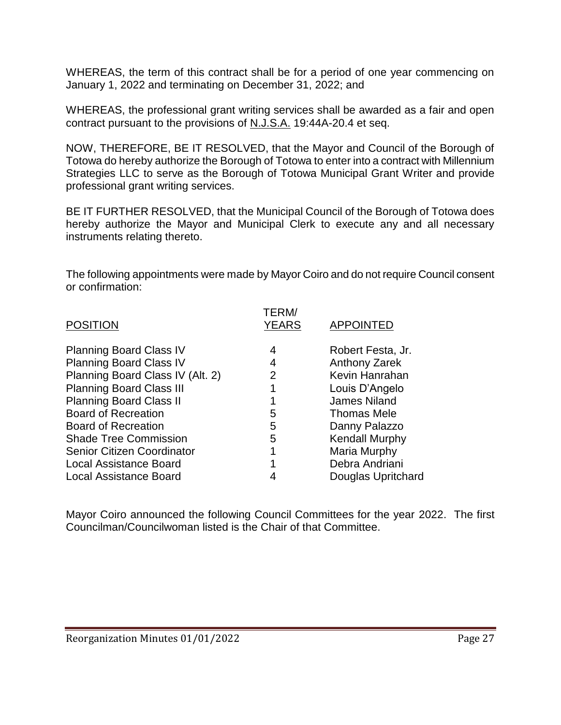WHEREAS, the term of this contract shall be for a period of one year commencing on January 1, 2022 and terminating on December 31, 2022; and

WHEREAS, the professional grant writing services shall be awarded as a fair and open contract pursuant to the provisions of N.J.S.A. 19:44A-20.4 et seq.

NOW, THEREFORE, BE IT RESOLVED, that the Mayor and Council of the Borough of Totowa do hereby authorize the Borough of Totowa to enter into a contract with Millennium Strategies LLC to serve as the Borough of Totowa Municipal Grant Writer and provide professional grant writing services.

BE IT FURTHER RESOLVED, that the Municipal Council of the Borough of Totowa does hereby authorize the Mayor and Municipal Clerk to execute any and all necessary instruments relating thereto.

The following appointments were made by Mayor Coiro and do not require Council consent or confirmation:

| <b>POSITION</b>                   | TERM/<br><b>YEARS</b> | <b>APPOINTED</b>      |
|-----------------------------------|-----------------------|-----------------------|
| <b>Planning Board Class IV</b>    | 4                     | Robert Festa, Jr.     |
| <b>Planning Board Class IV</b>    | 4                     | <b>Anthony Zarek</b>  |
| Planning Board Class IV (Alt. 2)  | 2                     | Kevin Hanrahan        |
| <b>Planning Board Class III</b>   |                       | Louis D'Angelo        |
| <b>Planning Board Class II</b>    |                       | <b>James Niland</b>   |
| <b>Board of Recreation</b>        | 5                     | <b>Thomas Mele</b>    |
| <b>Board of Recreation</b>        | 5                     | Danny Palazzo         |
| <b>Shade Tree Commission</b>      | 5                     | <b>Kendall Murphy</b> |
| <b>Senior Citizen Coordinator</b> |                       | Maria Murphy          |
| <b>Local Assistance Board</b>     |                       | Debra Andriani        |
| <b>Local Assistance Board</b>     |                       | Douglas Upritchard    |

Mayor Coiro announced the following Council Committees for the year 2022. The first Councilman/Councilwoman listed is the Chair of that Committee.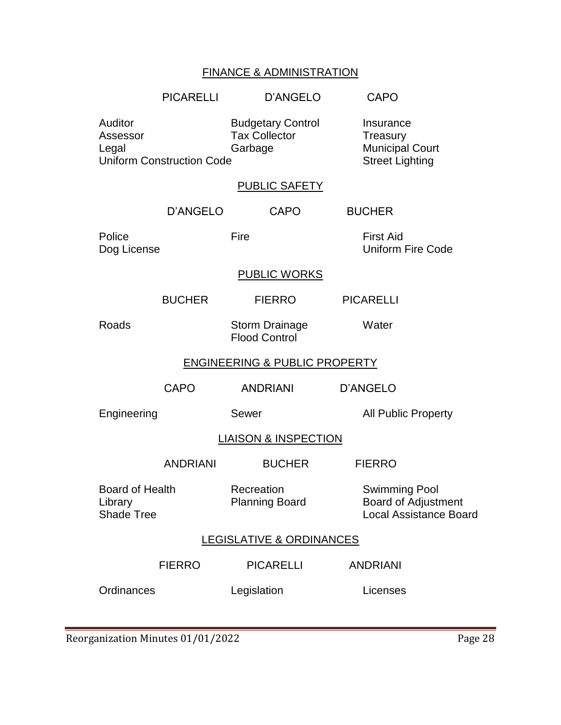# FINANCE & ADMINISTRATION

|                                                        | <b>PICARELLI</b>                 | D'ANGELO                                                    | <b>CAPO</b>                                                                         |
|--------------------------------------------------------|----------------------------------|-------------------------------------------------------------|-------------------------------------------------------------------------------------|
| Auditor<br>Assessor<br>Legal                           | <b>Uniform Construction Code</b> | <b>Budgetary Control</b><br><b>Tax Collector</b><br>Garbage | Insurance<br>Treasury<br><b>Municipal Court</b><br><b>Street Lighting</b>           |
|                                                        |                                  | <b>PUBLIC SAFETY</b>                                        |                                                                                     |
|                                                        | D'ANGELO                         | <b>CAPO</b>                                                 | <b>BUCHER</b>                                                                       |
| Police<br>Dog License                                  |                                  | Fire                                                        | <b>First Aid</b><br><b>Uniform Fire Code</b>                                        |
|                                                        |                                  | <b>PUBLIC WORKS</b>                                         |                                                                                     |
|                                                        | <b>BUCHER</b>                    | <b>FIERRO</b>                                               | <b>PICARELLI</b>                                                                    |
| Roads                                                  |                                  | <b>Storm Drainage</b><br><b>Flood Control</b>               | Water                                                                               |
| <b>ENGINEERING &amp; PUBLIC PROPERTY</b>               |                                  |                                                             |                                                                                     |
|                                                        | <b>CAPO</b>                      | <b>ANDRIANI</b>                                             | D'ANGELO                                                                            |
| Engineering                                            |                                  | Sewer                                                       | <b>All Public Property</b>                                                          |
| <b>LIAISON &amp; INSPECTION</b>                        |                                  |                                                             |                                                                                     |
|                                                        | <b>ANDRIANI</b>                  | <b>BUCHER</b>                                               | <b>FIERRO</b>                                                                       |
| <b>Board of Health</b><br>Library<br><b>Shade Tree</b> |                                  | Recreation<br><b>Planning Board</b>                         | <b>Swimming Pool</b><br><b>Board of Adjustment</b><br><b>Local Assistance Board</b> |
| <b>LEGISLATIVE &amp; ORDINANCES</b>                    |                                  |                                                             |                                                                                     |
|                                                        | <b>FIERRO</b>                    | <b>PICARELLI</b>                                            | <b>ANDRIANI</b>                                                                     |
| Ordinances                                             |                                  | Legislation                                                 | Licenses                                                                            |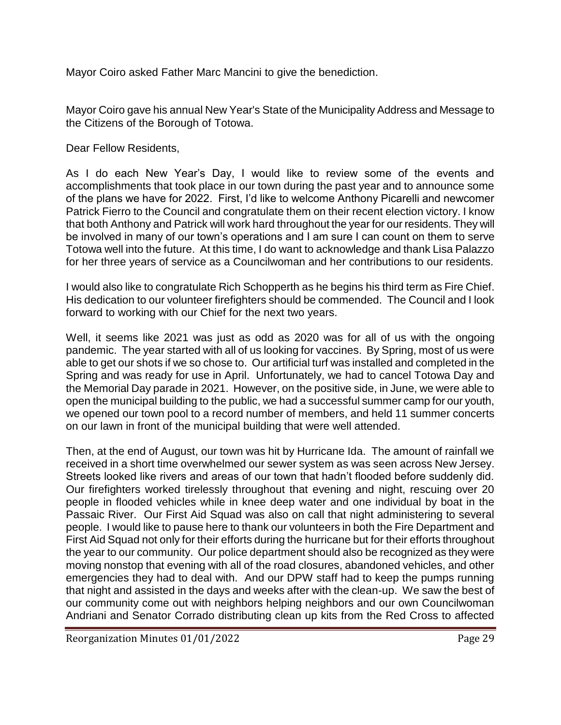Mayor Coiro asked Father Marc Mancini to give the benediction.

Mayor Coiro gave his annual New Year's State of the Municipality Address and Message to the Citizens of the Borough of Totowa.

Dear Fellow Residents,

As I do each New Year's Day, I would like to review some of the events and accomplishments that took place in our town during the past year and to announce some of the plans we have for 2022. First, I'd like to welcome Anthony Picarelli and newcomer Patrick Fierro to the Council and congratulate them on their recent election victory. I know that both Anthony and Patrick will work hard throughout the year for our residents. They will be involved in many of our town's operations and I am sure I can count on them to serve Totowa well into the future. At this time, I do want to acknowledge and thank Lisa Palazzo for her three years of service as a Councilwoman and her contributions to our residents.

I would also like to congratulate Rich Schopperth as he begins his third term as Fire Chief. His dedication to our volunteer firefighters should be commended. The Council and I look forward to working with our Chief for the next two years.

Well, it seems like 2021 was just as odd as 2020 was for all of us with the ongoing pandemic. The year started with all of us looking for vaccines. By Spring, most of us were able to get our shots if we so chose to. Our artificial turf was installed and completed in the Spring and was ready for use in April. Unfortunately, we had to cancel Totowa Day and the Memorial Day parade in 2021. However, on the positive side, in June, we were able to open the municipal building to the public, we had a successful summer camp for our youth, we opened our town pool to a record number of members, and held 11 summer concerts on our lawn in front of the municipal building that were well attended.

Then, at the end of August, our town was hit by Hurricane Ida. The amount of rainfall we received in a short time overwhelmed our sewer system as was seen across New Jersey. Streets looked like rivers and areas of our town that hadn't flooded before suddenly did. Our firefighters worked tirelessly throughout that evening and night, rescuing over 20 people in flooded vehicles while in knee deep water and one individual by boat in the Passaic River. Our First Aid Squad was also on call that night administering to several people. I would like to pause here to thank our volunteers in both the Fire Department and First Aid Squad not only for their efforts during the hurricane but for their efforts throughout the year to our community. Our police department should also be recognized as they were moving nonstop that evening with all of the road closures, abandoned vehicles, and other emergencies they had to deal with. And our DPW staff had to keep the pumps running that night and assisted in the days and weeks after with the clean-up. We saw the best of our community come out with neighbors helping neighbors and our own Councilwoman Andriani and Senator Corrado distributing clean up kits from the Red Cross to affected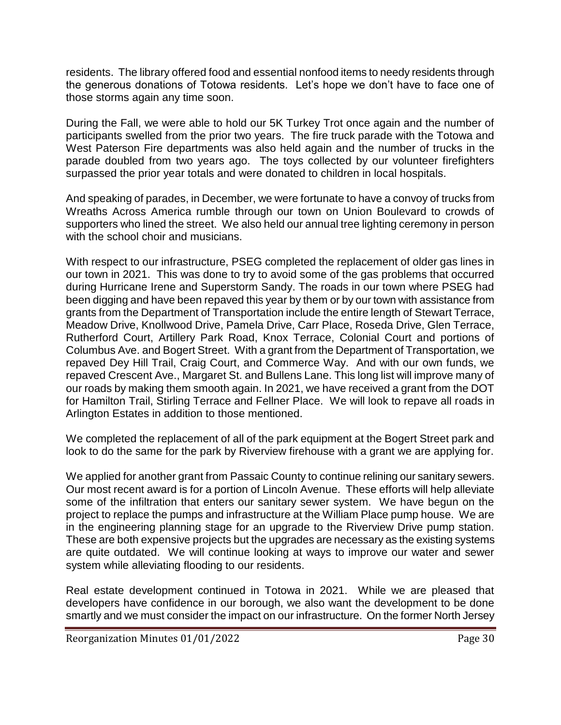residents. The library offered food and essential nonfood items to needy residents through the generous donations of Totowa residents. Let's hope we don't have to face one of those storms again any time soon.

During the Fall, we were able to hold our 5K Turkey Trot once again and the number of participants swelled from the prior two years. The fire truck parade with the Totowa and West Paterson Fire departments was also held again and the number of trucks in the parade doubled from two years ago. The toys collected by our volunteer firefighters surpassed the prior year totals and were donated to children in local hospitals.

And speaking of parades, in December, we were fortunate to have a convoy of trucks from Wreaths Across America rumble through our town on Union Boulevard to crowds of supporters who lined the street. We also held our annual tree lighting ceremony in person with the school choir and musicians.

With respect to our infrastructure, PSEG completed the replacement of older gas lines in our town in 2021. This was done to try to avoid some of the gas problems that occurred during Hurricane Irene and Superstorm Sandy. The roads in our town where PSEG had been digging and have been repaved this year by them or by our town with assistance from grants from the Department of Transportation include the entire length of Stewart Terrace, Meadow Drive, Knollwood Drive, Pamela Drive, Carr Place, Roseda Drive, Glen Terrace, Rutherford Court, Artillery Park Road, Knox Terrace, Colonial Court and portions of Columbus Ave. and Bogert Street. With a grant from the Department of Transportation, we repaved Dey Hill Trail, Craig Court, and Commerce Way. And with our own funds, we repaved Crescent Ave., Margaret St. and Bullens Lane. This long list will improve many of our roads by making them smooth again. In 2021, we have received a grant from the DOT for Hamilton Trail, Stirling Terrace and Fellner Place. We will look to repave all roads in Arlington Estates in addition to those mentioned.

We completed the replacement of all of the park equipment at the Bogert Street park and look to do the same for the park by Riverview firehouse with a grant we are applying for.

We applied for another grant from Passaic County to continue relining our sanitary sewers. Our most recent award is for a portion of Lincoln Avenue. These efforts will help alleviate some of the infiltration that enters our sanitary sewer system. We have begun on the project to replace the pumps and infrastructure at the William Place pump house. We are in the engineering planning stage for an upgrade to the Riverview Drive pump station. These are both expensive projects but the upgrades are necessary as the existing systems are quite outdated. We will continue looking at ways to improve our water and sewer system while alleviating flooding to our residents.

Real estate development continued in Totowa in 2021. While we are pleased that developers have confidence in our borough, we also want the development to be done smartly and we must consider the impact on our infrastructure. On the former North Jersey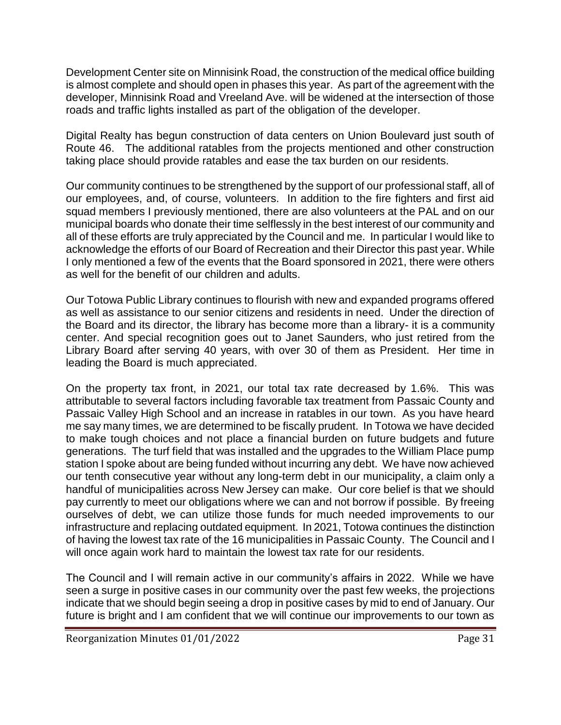Development Center site on Minnisink Road, the construction of the medical office building is almost complete and should open in phases this year. As part of the agreement with the developer, Minnisink Road and Vreeland Ave. will be widened at the intersection of those roads and traffic lights installed as part of the obligation of the developer.

Digital Realty has begun construction of data centers on Union Boulevard just south of Route 46. The additional ratables from the projects mentioned and other construction taking place should provide ratables and ease the tax burden on our residents.

Our community continues to be strengthened by the support of our professional staff, all of our employees, and, of course, volunteers. In addition to the fire fighters and first aid squad members I previously mentioned, there are also volunteers at the PAL and on our municipal boards who donate their time selflessly in the best interest of our community and all of these efforts are truly appreciated by the Council and me. In particular I would like to acknowledge the efforts of our Board of Recreation and their Director this past year. While I only mentioned a few of the events that the Board sponsored in 2021, there were others as well for the benefit of our children and adults.

Our Totowa Public Library continues to flourish with new and expanded programs offered as well as assistance to our senior citizens and residents in need. Under the direction of the Board and its director, the library has become more than a library- it is a community center. And special recognition goes out to Janet Saunders, who just retired from the Library Board after serving 40 years, with over 30 of them as President. Her time in leading the Board is much appreciated.

On the property tax front, in 2021, our total tax rate decreased by 1.6%. This was attributable to several factors including favorable tax treatment from Passaic County and Passaic Valley High School and an increase in ratables in our town. As you have heard me say many times, we are determined to be fiscally prudent. In Totowa we have decided to make tough choices and not place a financial burden on future budgets and future generations. The turf field that was installed and the upgrades to the William Place pump station I spoke about are being funded without incurring any debt. We have now achieved our tenth consecutive year without any long-term debt in our municipality, a claim only a handful of municipalities across New Jersey can make. Our core belief is that we should pay currently to meet our obligations where we can and not borrow if possible. By freeing ourselves of debt, we can utilize those funds for much needed improvements to our infrastructure and replacing outdated equipment. In 2021, Totowa continues the distinction of having the lowest tax rate of the 16 municipalities in Passaic County. The Council and I will once again work hard to maintain the lowest tax rate for our residents.

The Council and I will remain active in our community's affairs in 2022. While we have seen a surge in positive cases in our community over the past few weeks, the projections indicate that we should begin seeing a drop in positive cases by mid to end of January. Our future is bright and I am confident that we will continue our improvements to our town as